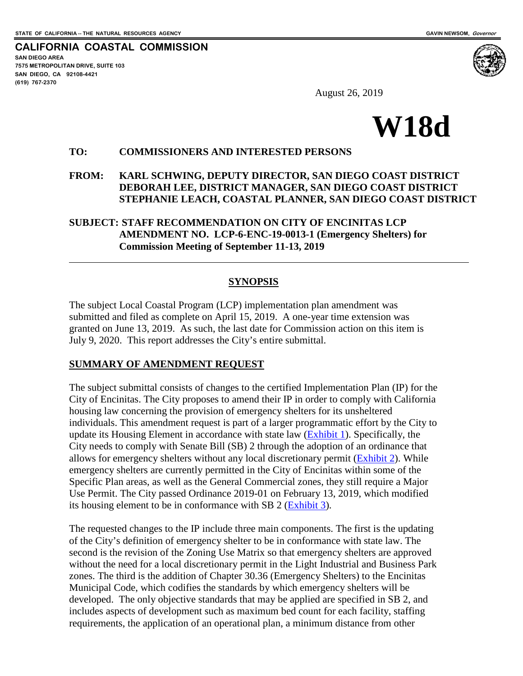$\overline{a}$ 

**CALIFORNIA COASTAL COMMISSION SAN DIEGO AREA 7575 METROPOLITAN DRIVE, SUITE 103 SAN DIEGO, CA 92108-4421 (619) 767-2370**



August 26, 2019

# **W18d**

#### **TO: COMMISSIONERS AND INTERESTED PERSONS**

#### **FROM: KARL SCHWING, DEPUTY DIRECTOR, SAN DIEGO COAST DISTRICT DEBORAH LEE, DISTRICT MANAGER, SAN DIEGO COAST DISTRICT STEPHANIE LEACH, COASTAL PLANNER, SAN DIEGO COAST DISTRICT**

#### **SUBJECT: STAFF RECOMMENDATION ON CITY OF ENCINITAS LCP AMENDMENT NO. LCP-6-ENC-19-0013-1 (Emergency Shelters) for Commission Meeting of September 11-13, 2019**

## **SYNOPSIS**

The subject Local Coastal Program (LCP) implementation plan amendment was submitted and filed as complete on April 15, 2019. A one-year time extension was granted on June 13, 2019. As such, the last date for Commission action on this item is July 9, 2020. This report addresses the City's entire submittal.

#### **SUMMARY OF AMENDMENT REQUEST**

The subject submittal consists of changes to the certified Implementation Plan (IP) for the City of Encinitas. The City proposes to amend their IP in order to comply with California housing law concerning the provision of emergency shelters for its unsheltered individuals. This amendment request is part of a larger programmatic effort by the City to update its Housing Element in accordance with state law [\(Exhibit 1\)](https://documents.coastal.ca.gov/reports/2019/9/w18d/w18d-9-2019-exhibits.pdf). Specifically, the City needs to comply with Senate Bill (SB) 2 through the adoption of an ordinance that allows for emergency shelters without any local discretionary permit [\(Exhibit 2\)](https://documents.coastal.ca.gov/reports/2019/9/w18d/w18d-9-2019-exhibits.pdf). While emergency shelters are currently permitted in the City of Encinitas within some of the Specific Plan areas, as well as the General Commercial zones, they still require a Major Use Permit. The City passed Ordinance 2019-01 on February 13, 2019, which modified its housing element to be in conformance with SB 2 (**Exhibit 3**).

The requested changes to the IP include three main components. The first is the updating of the City's definition of emergency shelter to be in conformance with state law. The second is the revision of the Zoning Use Matrix so that emergency shelters are approved without the need for a local discretionary permit in the Light Industrial and Business Park zones. The third is the addition of Chapter 30.36 (Emergency Shelters) to the Encinitas Municipal Code, which codifies the standards by which emergency shelters will be developed. The only objective standards that may be applied are specified in SB 2, and includes aspects of development such as maximum bed count for each facility, staffing requirements, the application of an operational plan, a minimum distance from other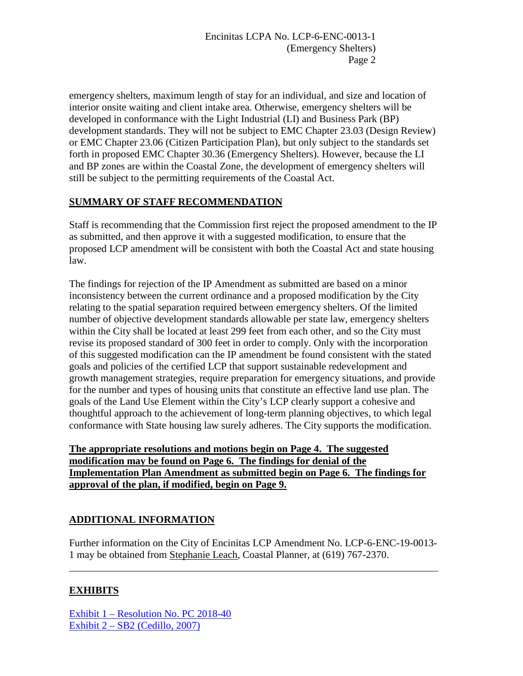emergency shelters, maximum length of stay for an individual, and size and location of interior onsite waiting and client intake area. Otherwise, emergency shelters will be developed in conformance with the Light Industrial (LI) and Business Park (BP) development standards. They will not be subject to EMC Chapter 23.03 (Design Review) or EMC Chapter 23.06 (Citizen Participation Plan), but only subject to the standards set forth in proposed EMC Chapter 30.36 (Emergency Shelters). However, because the LI and BP zones are within the Coastal Zone, the development of emergency shelters will still be subject to the permitting requirements of the Coastal Act.

## **SUMMARY OF STAFF RECOMMENDATION**

Staff is recommending that the Commission first reject the proposed amendment to the IP as submitted, and then approve it with a suggested modification, to ensure that the proposed LCP amendment will be consistent with both the Coastal Act and state housing law.

The findings for rejection of the IP Amendment as submitted are based on a minor inconsistency between the current ordinance and a proposed modification by the City relating to the spatial separation required between emergency shelters. Of the limited number of objective development standards allowable per state law, emergency shelters within the City shall be located at least 299 feet from each other, and so the City must revise its proposed standard of 300 feet in order to comply. Only with the incorporation of this suggested modification can the IP amendment be found consistent with the stated goals and policies of the certified LCP that support sustainable redevelopment and growth management strategies, require preparation for emergency situations, and provide for the number and types of housing units that constitute an effective land use plan. The goals of the Land Use Element within the City's LCP clearly support a cohesive and thoughtful approach to the achievement of long-term planning objectives, to which legal conformance with State housing law surely adheres. The City supports the modification.

**The appropriate resolutions and motions begin on Page 4. The suggested modification may be found on Page 6. The findings for denial of the Implementation Plan Amendment as submitted begin on Page 6. The findings for approval of the plan, if modified, begin on Page 9.** 

# **ADDITIONAL INFORMATION**

Further information on the City of Encinitas LCP Amendment No. LCP-6-ENC-19-0013- 1 may be obtained from Stephanie Leach, Coastal Planner, at (619) 767-2370.

# **EXHIBITS**

 $\overline{a}$ 

[Exhibit 1 – Resolution No. PC 2018-40](https://documents.coastal.ca.gov/reports/2019/9/w18d/w18d-9-2019-exhibits.pdf) [Exhibit 2 – SB2 \(Cedillo, 2007\)](https://documents.coastal.ca.gov/reports/2019/9/w18d/w18d-9-2019-exhibits.pdf)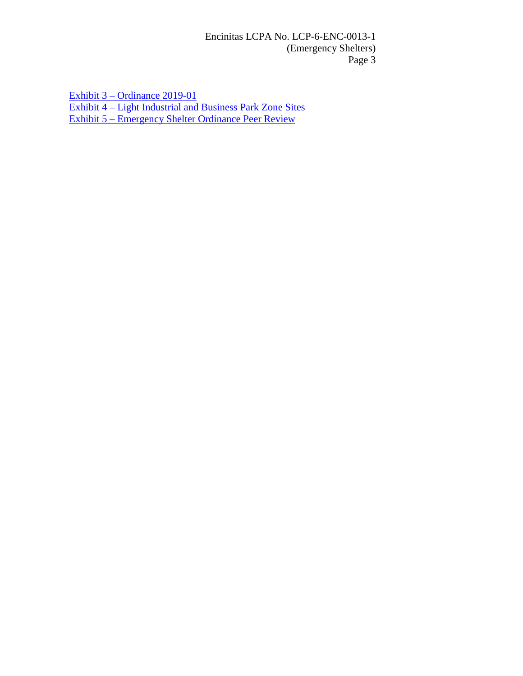Encinitas LCPA No. LCP-6-ENC-0013-1 (Emergency Shelters) Page 3

[Exhibit 3 – Ordinance 2019-01](https://documents.coastal.ca.gov/reports/2019/9/w18d/w18d-9-2019-exhibits.pdf) [Exhibit 4 – Light Industrial and Business Park Zone Sites](https://documents.coastal.ca.gov/reports/2019/9/w18d/w18d-9-2019-exhibits.pdf) [Exhibit 5 – Emergency Shelter Ordinance Peer Review](https://documents.coastal.ca.gov/reports/2019/9/w18d/w18d-9-2019-exhibits.pdf)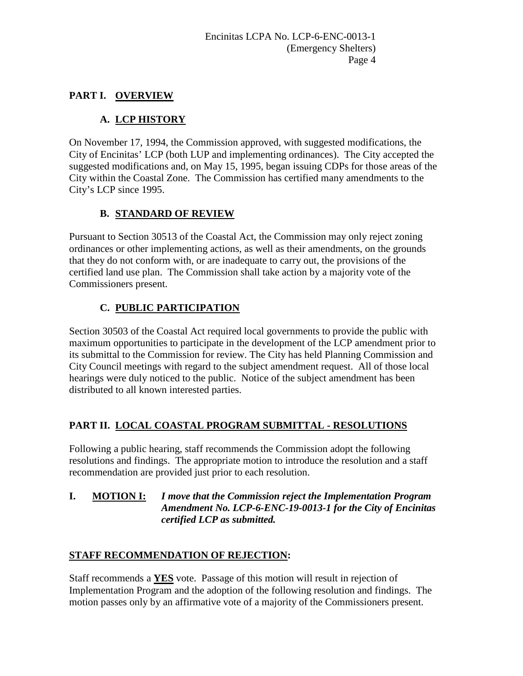## **PART I. OVERVIEW**

# **A. LCP HISTORY**

On November 17, 1994, the Commission approved, with suggested modifications, the City of Encinitas' LCP (both LUP and implementing ordinances). The City accepted the suggested modifications and, on May 15, 1995, began issuing CDPs for those areas of the City within the Coastal Zone. The Commission has certified many amendments to the City's LCP since 1995.

# **B. STANDARD OF REVIEW**

Pursuant to Section 30513 of the Coastal Act, the Commission may only reject zoning ordinances or other implementing actions, as well as their amendments, on the grounds that they do not conform with, or are inadequate to carry out, the provisions of the certified land use plan. The Commission shall take action by a majority vote of the Commissioners present.

# **C. PUBLIC PARTICIPATION**

Section 30503 of the Coastal Act required local governments to provide the public with maximum opportunities to participate in the development of the LCP amendment prior to its submittal to the Commission for review. The City has held Planning Commission and City Council meetings with regard to the subject amendment request. All of those local hearings were duly noticed to the public. Notice of the subject amendment has been distributed to all known interested parties.

# **PART II. LOCAL COASTAL PROGRAM SUBMITTAL - RESOLUTIONS**

Following a public hearing, staff recommends the Commission adopt the following resolutions and findings. The appropriate motion to introduce the resolution and a staff recommendation are provided just prior to each resolution.

#### **I. MOTION I:** *I move that the Commission reject the Implementation Program Amendment No. LCP-6-ENC-19-0013-1 for the City of Encinitas certified LCP as submitted.*

# **STAFF RECOMMENDATION OF REJECTION:**

Staff recommends a **YES** vote. Passage of this motion will result in rejection of Implementation Program and the adoption of the following resolution and findings. The motion passes only by an affirmative vote of a majority of the Commissioners present.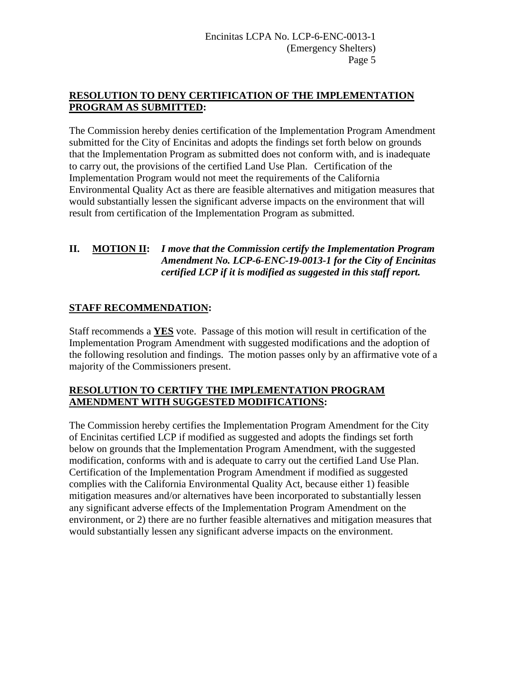## **RESOLUTION TO DENY CERTIFICATION OF THE IMPLEMENTATION PROGRAM AS SUBMITTED:**

The Commission hereby denies certification of the Implementation Program Amendment submitted for the City of Encinitas and adopts the findings set forth below on grounds that the Implementation Program as submitted does not conform with, and is inadequate to carry out, the provisions of the certified Land Use Plan. Certification of the Implementation Program would not meet the requirements of the California Environmental Quality Act as there are feasible alternatives and mitigation measures that would substantially lessen the significant adverse impacts on the environment that will result from certification of the Implementation Program as submitted.

## **II. MOTION II:** *I move that the Commission certify the Implementation Program Amendment No. LCP-6-ENC-19-0013-1 for the City of Encinitas certified LCP if it is modified as suggested in this staff report.*

# **STAFF RECOMMENDATION:**

Staff recommends a **YES** vote. Passage of this motion will result in certification of the Implementation Program Amendment with suggested modifications and the adoption of the following resolution and findings. The motion passes only by an affirmative vote of a majority of the Commissioners present.

#### **RESOLUTION TO CERTIFY THE IMPLEMENTATION PROGRAM AMENDMENT WITH SUGGESTED MODIFICATIONS:**

The Commission hereby certifies the Implementation Program Amendment for the City of Encinitas certified LCP if modified as suggested and adopts the findings set forth below on grounds that the Implementation Program Amendment, with the suggested modification, conforms with and is adequate to carry out the certified Land Use Plan. Certification of the Implementation Program Amendment if modified as suggested complies with the California Environmental Quality Act, because either 1) feasible mitigation measures and/or alternatives have been incorporated to substantially lessen any significant adverse effects of the Implementation Program Amendment on the environment, or 2) there are no further feasible alternatives and mitigation measures that would substantially lessen any significant adverse impacts on the environment.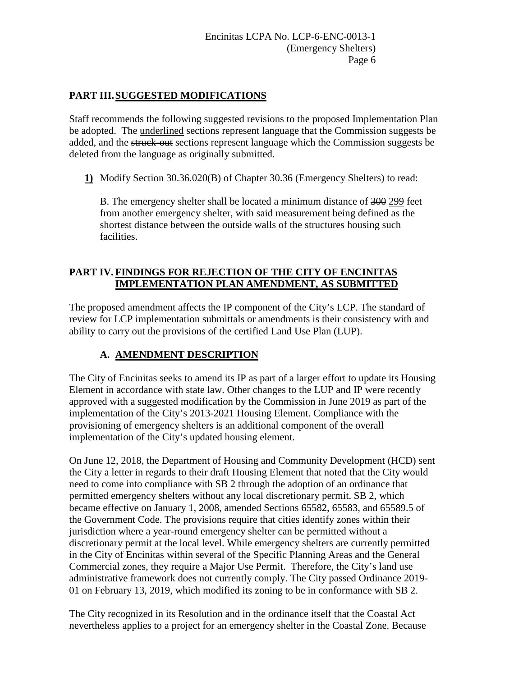## **PART III.SUGGESTED MODIFICATIONS**

Staff recommends the following suggested revisions to the proposed Implementation Plan be adopted. The underlined sections represent language that the Commission suggests be added, and the struck-out sections represent language which the Commission suggests be deleted from the language as originally submitted.

**1)** Modify Section 30.36.020(B) of Chapter 30.36 (Emergency Shelters) to read:

B. The emergency shelter shall be located a minimum distance of 300 299 feet from another emergency shelter, with said measurement being defined as the shortest distance between the outside walls of the structures housing such facilities.

## **PART IV. FINDINGS FOR REJECTION OF THE CITY OF ENCINITAS IMPLEMENTATION PLAN AMENDMENT, AS SUBMITTED**

The proposed amendment affects the IP component of the City's LCP. The standard of review for LCP implementation submittals or amendments is their consistency with and ability to carry out the provisions of the certified Land Use Plan (LUP).

# **A. AMENDMENT DESCRIPTION**

The City of Encinitas seeks to amend its IP as part of a larger effort to update its Housing Element in accordance with state law. Other changes to the LUP and IP were recently approved with a suggested modification by the Commission in June 2019 as part of the implementation of the City's 2013-2021 Housing Element. Compliance with the provisioning of emergency shelters is an additional component of the overall implementation of the City's updated housing element.

On June 12, 2018, the Department of Housing and Community Development (HCD) sent the City a letter in regards to their draft Housing Element that noted that the City would need to come into compliance with SB 2 through the adoption of an ordinance that permitted emergency shelters without any local discretionary permit. SB 2, which became effective on January 1, 2008, amended Sections 65582, 65583, and 65589.5 of the Government Code. The provisions require that cities identify zones within their jurisdiction where a year-round emergency shelter can be permitted without a discretionary permit at the local level. While emergency shelters are currently permitted in the City of Encinitas within several of the Specific Planning Areas and the General Commercial zones, they require a Major Use Permit. Therefore, the City's land use administrative framework does not currently comply. The City passed Ordinance 2019- 01 on February 13, 2019, which modified its zoning to be in conformance with SB 2.

The City recognized in its Resolution and in the ordinance itself that the Coastal Act nevertheless applies to a project for an emergency shelter in the Coastal Zone. Because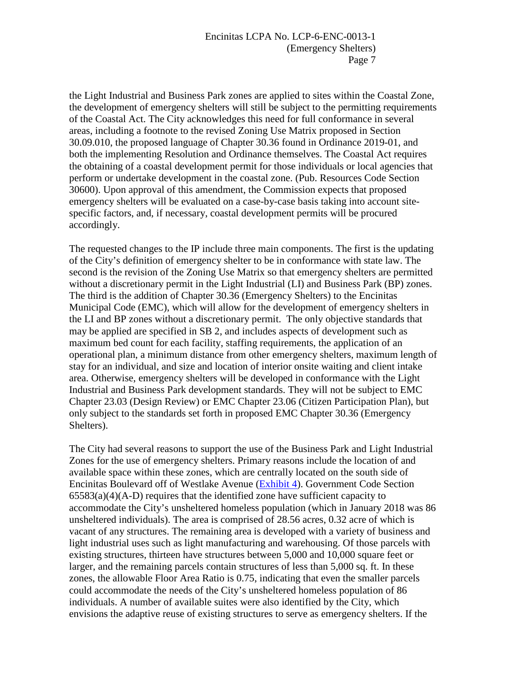#### Encinitas LCPA No. LCP-6-ENC-0013-1 (Emergency Shelters) Page 7

the Light Industrial and Business Park zones are applied to sites within the Coastal Zone, the development of emergency shelters will still be subject to the permitting requirements of the Coastal Act. The City acknowledges this need for full conformance in several areas, including a footnote to the revised Zoning Use Matrix proposed in Section 30.09.010, the proposed language of Chapter 30.36 found in Ordinance 2019-01, and both the implementing Resolution and Ordinance themselves. The Coastal Act requires the obtaining of a coastal development permit for those individuals or local agencies that perform or undertake development in the coastal zone. (Pub. Resources Code Section 30600). Upon approval of this amendment, the Commission expects that proposed emergency shelters will be evaluated on a case-by-case basis taking into account sitespecific factors, and, if necessary, coastal development permits will be procured accordingly.

The requested changes to the IP include three main components. The first is the updating of the City's definition of emergency shelter to be in conformance with state law. The second is the revision of the Zoning Use Matrix so that emergency shelters are permitted without a discretionary permit in the Light Industrial (LI) and Business Park (BP) zones. The third is the addition of Chapter 30.36 (Emergency Shelters) to the Encinitas Municipal Code (EMC), which will allow for the development of emergency shelters in the LI and BP zones without a discretionary permit. The only objective standards that may be applied are specified in SB 2, and includes aspects of development such as maximum bed count for each facility, staffing requirements, the application of an operational plan, a minimum distance from other emergency shelters, maximum length of stay for an individual, and size and location of interior onsite waiting and client intake area. Otherwise, emergency shelters will be developed in conformance with the Light Industrial and Business Park development standards. They will not be subject to EMC Chapter 23.03 (Design Review) or EMC Chapter 23.06 (Citizen Participation Plan), but only subject to the standards set forth in proposed EMC Chapter 30.36 (Emergency Shelters).

The City had several reasons to support the use of the Business Park and Light Industrial Zones for the use of emergency shelters. Primary reasons include the location of and available space within these zones, which are centrally located on the south side of Encinitas Boulevard off of Westlake Avenue [\(Exhibit 4\)](https://documents.coastal.ca.gov/reports/2019/9/w18d/w18d-9-2019-exhibits.pdf). Government Code Section  $65583(a)(4)(A-D)$  requires that the identified zone have sufficient capacity to accommodate the City's unsheltered homeless population (which in January 2018 was 86 unsheltered individuals). The area is comprised of 28.56 acres, 0.32 acre of which is vacant of any structures. The remaining area is developed with a variety of business and light industrial uses such as light manufacturing and warehousing. Of those parcels with existing structures, thirteen have structures between 5,000 and 10,000 square feet or larger, and the remaining parcels contain structures of less than 5,000 sq. ft. In these zones, the allowable Floor Area Ratio is 0.75, indicating that even the smaller parcels could accommodate the needs of the City's unsheltered homeless population of 86 individuals. A number of available suites were also identified by the City, which envisions the adaptive reuse of existing structures to serve as emergency shelters. If the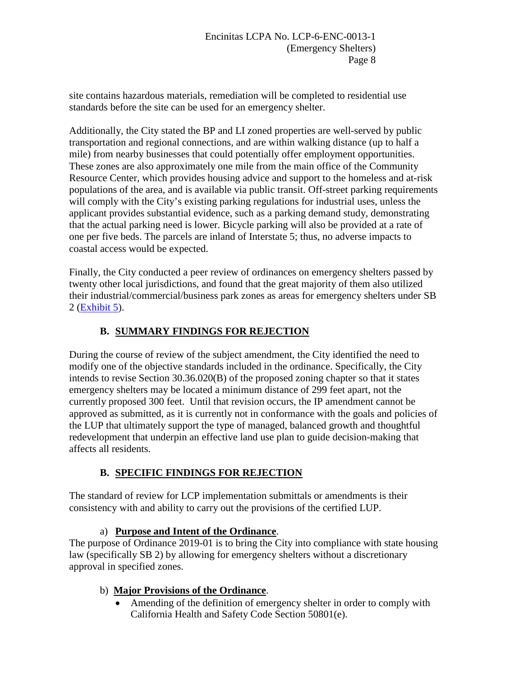site contains hazardous materials, remediation will be completed to residential use standards before the site can be used for an emergency shelter.

Additionally, the City stated the BP and LI zoned properties are well-served by public transportation and regional connections, and are within walking distance (up to half a mile) from nearby businesses that could potentially offer employment opportunities. These zones are also approximately one mile from the main office of the Community Resource Center, which provides housing advice and support to the homeless and at-risk populations of the area, and is available via public transit. Off-street parking requirements will comply with the City's existing parking regulations for industrial uses, unless the applicant provides substantial evidence, such as a parking demand study, demonstrating that the actual parking need is lower. Bicycle parking will also be provided at a rate of one per five beds. The parcels are inland of Interstate 5; thus, no adverse impacts to coastal access would be expected.

Finally, the City conducted a peer review of ordinances on emergency shelters passed by twenty other local jurisdictions, and found that the great majority of them also utilized their industrial/commercial/business park zones as areas for emergency shelters under SB 2 [\(Exhibit 5\)](https://documents.coastal.ca.gov/reports/2019/9/w18d/w18d-9-2019-exhibits.pdf).

# **B. SUMMARY FINDINGS FOR REJECTION**

During the course of review of the subject amendment, the City identified the need to modify one of the objective standards included in the ordinance. Specifically, the City intends to revise Section 30.36.020(B) of the proposed zoning chapter so that it states emergency shelters may be located a minimum distance of 299 feet apart, not the currently proposed 300 feet. Until that revision occurs, the IP amendment cannot be approved as submitted, as it is currently not in conformance with the goals and policies of the LUP that ultimately support the type of managed, balanced growth and thoughtful redevelopment that underpin an effective land use plan to guide decision-making that affects all residents.

# **B. SPECIFIC FINDINGS FOR REJECTION**

The standard of review for LCP implementation submittals or amendments is their consistency with and ability to carry out the provisions of the certified LUP.

## a) **Purpose and Intent of the Ordinance**.

The purpose of Ordinance 2019-01 is to bring the City into compliance with state housing law (specifically SB 2) by allowing for emergency shelters without a discretionary approval in specified zones.

## b) **Major Provisions of the Ordinance**.

• Amending of the definition of emergency shelter in order to comply with California Health and Safety Code Section 50801(e).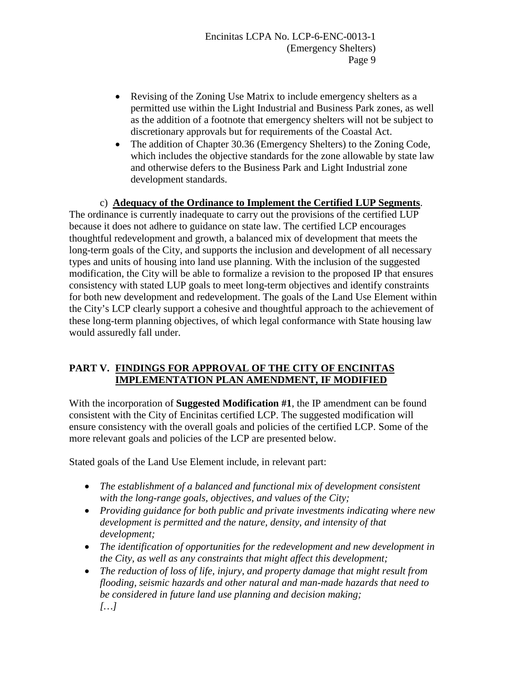- Revising of the Zoning Use Matrix to include emergency shelters as a permitted use within the Light Industrial and Business Park zones, as well as the addition of a footnote that emergency shelters will not be subject to discretionary approvals but for requirements of the Coastal Act.
- The addition of Chapter 30.36 (Emergency Shelters) to the Zoning Code, which includes the objective standards for the zone allowable by state law and otherwise defers to the Business Park and Light Industrial zone development standards.

#### c) **Adequacy of the Ordinance to Implement the Certified LUP Segments**.

The ordinance is currently inadequate to carry out the provisions of the certified LUP because it does not adhere to guidance on state law. The certified LCP encourages thoughtful redevelopment and growth, a balanced mix of development that meets the long-term goals of the City, and supports the inclusion and development of all necessary types and units of housing into land use planning. With the inclusion of the suggested modification, the City will be able to formalize a revision to the proposed IP that ensures consistency with stated LUP goals to meet long-term objectives and identify constraints for both new development and redevelopment. The goals of the Land Use Element within the City's LCP clearly support a cohesive and thoughtful approach to the achievement of these long-term planning objectives, of which legal conformance with State housing law would assuredly fall under.

## **PART V. FINDINGS FOR APPROVAL OF THE CITY OF ENCINITAS IMPLEMENTATION PLAN AMENDMENT, IF MODIFIED**

With the incorporation of **Suggested Modification #1**, the IP amendment can be found consistent with the City of Encinitas certified LCP. The suggested modification will ensure consistency with the overall goals and policies of the certified LCP. Some of the more relevant goals and policies of the LCP are presented below.

Stated goals of the Land Use Element include, in relevant part:

- *The establishment of a balanced and functional mix of development consistent with the long-range goals, objectives, and values of the City;*
- *Providing guidance for both public and private investments indicating where new development is permitted and the nature, density, and intensity of that development;*
- *The identification of opportunities for the redevelopment and new development in the City, as well as any constraints that might affect this development;*
- *The reduction of loss of life, injury, and property damage that might result from flooding, seismic hazards and other natural and man-made hazards that need to be considered in future land use planning and decision making; […]*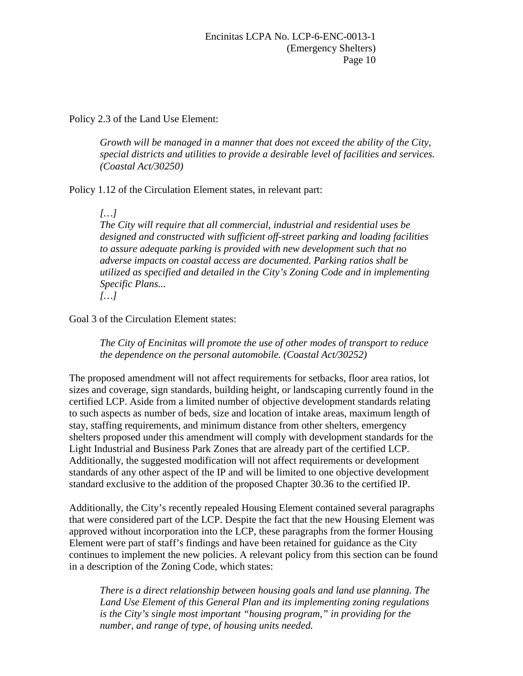Policy 2.3 of the Land Use Element:

*Growth will be managed in a manner that does not exceed the ability of the City, special districts and utilities to provide a desirable level of facilities and services. (Coastal Act/30250)* 

Policy 1.12 of the Circulation Element states, in relevant part:

*[…]*

*The City will require that all commercial, industrial and residential uses be designed and constructed with sufficient off-street parking and loading facilities to assure adequate parking is provided with new development such that no adverse impacts on coastal access are documented. Parking ratios shall be utilized as specified and detailed in the City's Zoning Code and in implementing Specific Plans...* 

*[…]* 

Goal 3 of the Circulation Element states:

*The City of Encinitas will promote the use of other modes of transport to reduce the dependence on the personal automobile. (Coastal Act/30252)* 

The proposed amendment will not affect requirements for setbacks, floor area ratios, lot sizes and coverage, sign standards, building height, or landscaping currently found in the certified LCP. Aside from a limited number of objective development standards relating to such aspects as number of beds, size and location of intake areas, maximum length of stay, staffing requirements, and minimum distance from other shelters, emergency shelters proposed under this amendment will comply with development standards for the Light Industrial and Business Park Zones that are already part of the certified LCP. Additionally, the suggested modification will not affect requirements or development standards of any other aspect of the IP and will be limited to one objective development standard exclusive to the addition of the proposed Chapter 30.36 to the certified IP.

Additionally, the City's recently repealed Housing Element contained several paragraphs that were considered part of the LCP. Despite the fact that the new Housing Element was approved without incorporation into the LCP, these paragraphs from the former Housing Element were part of staff's findings and have been retained for guidance as the City continues to implement the new policies. A relevant policy from this section can be found in a description of the Zoning Code, which states:

*There is a direct relationship between housing goals and land use planning. The Land Use Element of this General Plan and its implementing zoning regulations is the City's single most important "housing program," in providing for the number, and range of type, of housing units needed.*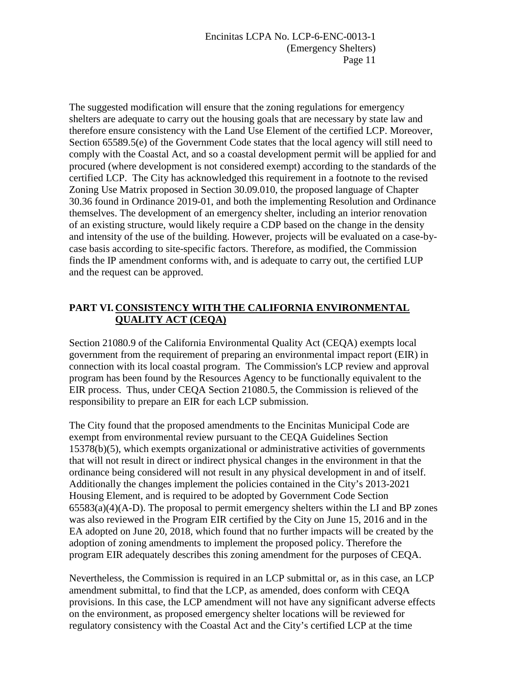Encinitas LCPA No. LCP-6-ENC-0013-1 (Emergency Shelters) Page 11

The suggested modification will ensure that the zoning regulations for emergency shelters are adequate to carry out the housing goals that are necessary by state law and therefore ensure consistency with the Land Use Element of the certified LCP. Moreover, Section 65589.5(e) of the Government Code states that the local agency will still need to comply with the Coastal Act, and so a coastal development permit will be applied for and procured (where development is not considered exempt) according to the standards of the certified LCP. The City has acknowledged this requirement in a footnote to the revised Zoning Use Matrix proposed in Section 30.09.010, the proposed language of Chapter 30.36 found in Ordinance 2019-01, and both the implementing Resolution and Ordinance themselves. The development of an emergency shelter, including an interior renovation of an existing structure, would likely require a CDP based on the change in the density and intensity of the use of the building. However, projects will be evaluated on a case-bycase basis according to site-specific factors. Therefore, as modified, the Commission finds the IP amendment conforms with, and is adequate to carry out, the certified LUP and the request can be approved.

## **PART VI. CONSISTENCY WITH THE CALIFORNIA ENVIRONMENTAL QUALITY ACT (CEQA)**

Section 21080.9 of the California Environmental Quality Act (CEQA) exempts local government from the requirement of preparing an environmental impact report (EIR) in connection with its local coastal program. The Commission's LCP review and approval program has been found by the Resources Agency to be functionally equivalent to the EIR process. Thus, under CEQA Section 21080.5, the Commission is relieved of the responsibility to prepare an EIR for each LCP submission.

The City found that the proposed amendments to the Encinitas Municipal Code are exempt from environmental review pursuant to the CEQA Guidelines Section 15378(b)(5), which exempts organizational or administrative activities of governments that will not result in direct or indirect physical changes in the environment in that the ordinance being considered will not result in any physical development in and of itself. Additionally the changes implement the policies contained in the City's 2013-2021 Housing Element, and is required to be adopted by Government Code Section  $65583(a)(4)(A-D)$ . The proposal to permit emergency shelters within the LI and BP zones was also reviewed in the Program EIR certified by the City on June 15, 2016 and in the EA adopted on June 20, 2018, which found that no further impacts will be created by the adoption of zoning amendments to implement the proposed policy. Therefore the program EIR adequately describes this zoning amendment for the purposes of CEQA.

Nevertheless, the Commission is required in an LCP submittal or, as in this case, an LCP amendment submittal, to find that the LCP, as amended, does conform with CEQA provisions. In this case, the LCP amendment will not have any significant adverse effects on the environment, as proposed emergency shelter locations will be reviewed for regulatory consistency with the Coastal Act and the City's certified LCP at the time